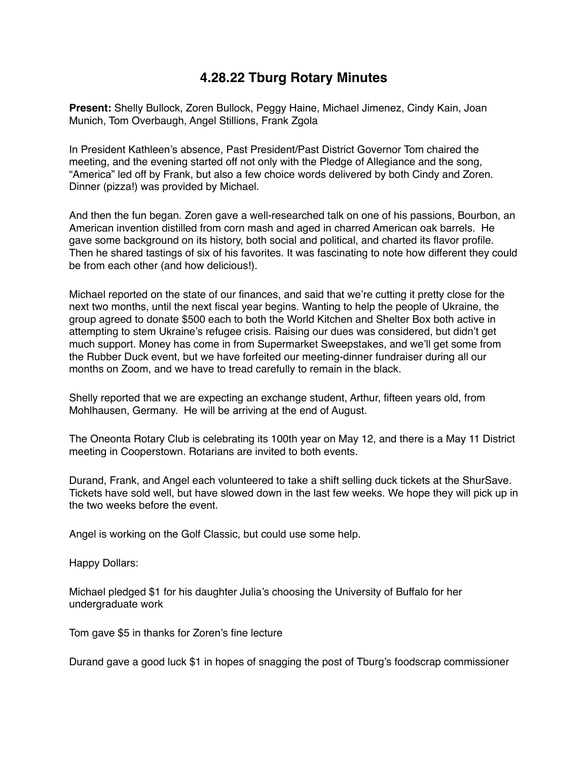## **4.28.22 Tburg Rotary Minutes**

**Present:** Shelly Bullock, Zoren Bullock, Peggy Haine, Michael Jimenez, Cindy Kain, Joan Munich, Tom Overbaugh, Angel Stillions, Frank Zgola

In President Kathleen's absence, Past President/Past District Governor Tom chaired the meeting, and the evening started off not only with the Pledge of Allegiance and the song, "America" led off by Frank, but also a few choice words delivered by both Cindy and Zoren. Dinner (pizza!) was provided by Michael.

And then the fun began. Zoren gave a well-researched talk on one of his passions, Bourbon, an American invention distilled from corn mash and aged in charred American oak barrels. He gave some background on its history, both social and political, and charted its flavor profile. Then he shared tastings of six of his favorites. It was fascinating to note how different they could be from each other (and how delicious!).

Michael reported on the state of our finances, and said that we're cutting it pretty close for the next two months, until the next fiscal year begins. Wanting to help the people of Ukraine, the group agreed to donate \$500 each to both the World Kitchen and Shelter Box both active in attempting to stem Ukraine's refugee crisis. Raising our dues was considered, but didn't get much support. Money has come in from Supermarket Sweepstakes, and we'll get some from the Rubber Duck event, but we have forfeited our meeting-dinner fundraiser during all our months on Zoom, and we have to tread carefully to remain in the black.

Shelly reported that we are expecting an exchange student, Arthur, fifteen years old, from Mohlhausen, Germany. He will be arriving at the end of August.

The Oneonta Rotary Club is celebrating its 100th year on May 12, and there is a May 11 District meeting in Cooperstown. Rotarians are invited to both events.

Durand, Frank, and Angel each volunteered to take a shift selling duck tickets at the ShurSave. Tickets have sold well, but have slowed down in the last few weeks. We hope they will pick up in the two weeks before the event.

Angel is working on the Golf Classic, but could use some help.

Happy Dollars:

Michael pledged \$1 for his daughter Julia's choosing the University of Buffalo for her undergraduate work

Tom gave \$5 in thanks for Zoren's fine lecture

Durand gave a good luck \$1 in hopes of snagging the post of Tburg's foodscrap commissioner